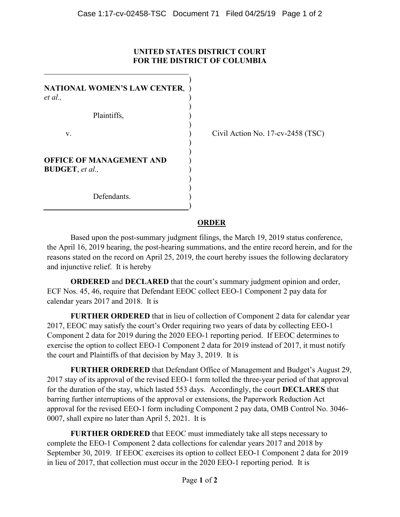## **UNITED STATES DISTRICT COURT FOR THE DISTRICT OF COLUMBIA**

| NATIONAL WOMEN'S LAW CENTER,<br>et al.,                    |  |
|------------------------------------------------------------|--|
| Plaintiffs,                                                |  |
| v.                                                         |  |
| <b>OFFICE OF MANAGEMENT AND</b><br><b>BUDGET</b> , et al., |  |
| Defendants.                                                |  |

Civil Action No. 17-cv-2458 (TSC)

## **ORDER**

Based upon the post-summary judgment filings, the March 19, 2019 status conference, the April 16, 2019 hearing, the post-hearing summations, and the entire record herein, and for the reasons stated on the record on April 25, 2019, the court hereby issues the following declaratory and injunctive relief. It is hereby

**ORDERED** and **DECLARED** that the court's summary judgment opinion and order, ECF Nos. 45, 46, require that Defendant EEOC collect EEO-1 Component 2 pay data for calendar years 2017 and 2018. It is

**FURTHER ORDERED** that in lieu of collection of Component 2 data for calendar year 2017, EEOC may satisfy the court's Order requiring two years of data by collecting EEO-1 Component 2 data for 2019 during the 2020 EEO-1 reporting period. If EEOC determines to exercise the option to collect EEO-1 Component 2 data for 2019 instead of 2017, it must notify the court and Plaintiffs of that decision by May 3, 2019. It is

**FURTHER ORDERED** that Defendant Office of Management and Budget's August 29, 2017 stay of its approval of the revised EEO-1 form tolled the three-year period of that approval for the duration of the stay, which lasted 553 days. Accordingly, the court **DECLARES** that barring further interruptions of the approval or extensions, the Paperwork Reduction Act approval for the revised EEO-1 form including Component 2 pay data, OMB Control No. 3046- 0007, shall expire no later than April 5, 2021. It is

**FURTHER ORDERED** that EEOC must immediately take all steps necessary to complete the EEO-1 Component 2 data collections for calendar years 2017 and 2018 by September 30, 2019. If EEOC exercises its option to collect EEO-1 Component 2 data for 2019 in lieu of 2017, that collection must occur in the 2020 EEO-1 reporting period. It is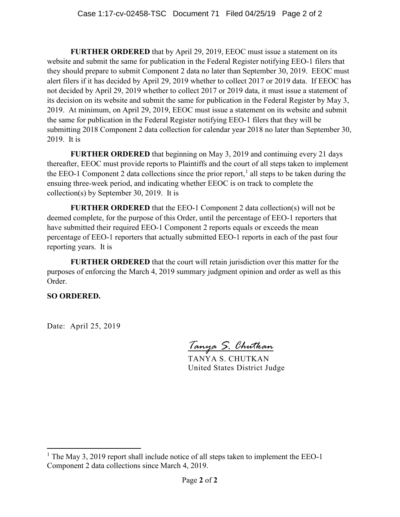**FURTHER ORDERED** that by April 29, 2019, EEOC must issue a statement on its website and submit the same for publication in the Federal Register notifying EEO-1 filers that they should prepare to submit Component 2 data no later than September 30, 2019. EEOC must alert filers if it has decided by April 29, 2019 whether to collect 2017 or 2019 data. If EEOC has not decided by April 29, 2019 whether to collect 2017 or 2019 data, it must issue a statement of its decision on its website and submit the same for publication in the Federal Register by May 3, 2019. At minimum, on April 29, 2019, EEOC must issue a statement on its website and submit the same for publication in the Federal Register notifying EEO-1 filers that they will be submitting 2018 Component 2 data collection for calendar year 2018 no later than September 30, 2019. It is

**FURTHER ORDERED** that beginning on May 3, 2019 and continuing every 21 days thereafter, EEOC must provide reports to Plaintiffs and the court of all steps taken to implement the EEO-1 Component 2 data collections since the prior report,<sup>1</sup> all steps to be taken during the ensuing three-week period, and indicating whether EEOC is on track to complete the collection(s) by September 30, 2019. It is

**FURTHER ORDERED** that the EEO-1 Component 2 data collection(s) will not be deemed complete, for the purpose of this Order, until the percentage of EEO-1 reporters that have submitted their required EEO-1 Component 2 reports equals or exceeds the mean percentage of EEO-1 reporters that actually submitted EEO-1 reports in each of the past four reporting years. It is

**FURTHER ORDERED** that the court will retain jurisdiction over this matter for the purposes of enforcing the March 4, 2019 summary judgment opinion and order as well as this Order.

**SO ORDERED.**

Date: April 25, 2019

*Tanya S. Chutkan*

TANYA S. CHUTKAN United States District Judge

<sup>&</sup>lt;sup>1</sup> The May 3, 2019 report shall include notice of all steps taken to implement the EEO-1 Component 2 data collections since March 4, 2019.